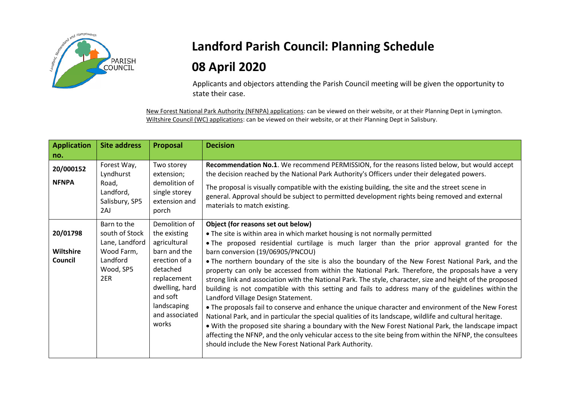

## **Landford Parish Council: Planning Schedule 08 April 2020**

Applicants and objectors attending the Parish Council meeting will be given the opportunity to state their case.

New Forest National Park Authority (NFNPA) applications: can be viewed on their website, or at their Planning Dept in Lymington. Wiltshire Council (WC) applications: can be viewed on their website, or at their Planning Dept in Salisbury.

| <b>Application</b>                      | <b>Site address</b>                                                                           | Proposal                                                                                                                                                                          | <b>Decision</b>                                                                                                                                                                                                                                                                                                                                                                                                                                                                                                                                                                                                                                                                                                                                                                                                                                                                                                                                                                                                                                                                                                                                                                                                          |
|-----------------------------------------|-----------------------------------------------------------------------------------------------|-----------------------------------------------------------------------------------------------------------------------------------------------------------------------------------|--------------------------------------------------------------------------------------------------------------------------------------------------------------------------------------------------------------------------------------------------------------------------------------------------------------------------------------------------------------------------------------------------------------------------------------------------------------------------------------------------------------------------------------------------------------------------------------------------------------------------------------------------------------------------------------------------------------------------------------------------------------------------------------------------------------------------------------------------------------------------------------------------------------------------------------------------------------------------------------------------------------------------------------------------------------------------------------------------------------------------------------------------------------------------------------------------------------------------|
| no.                                     |                                                                                               |                                                                                                                                                                                   |                                                                                                                                                                                                                                                                                                                                                                                                                                                                                                                                                                                                                                                                                                                                                                                                                                                                                                                                                                                                                                                                                                                                                                                                                          |
| 20/000152<br><b>NFNPA</b>               | Forest Way,<br>Lyndhurst<br>Road,<br>Landford,<br>Salisbury, SP5<br>2AJ                       | Two storey<br>extension;<br>demolition of<br>single storey<br>extension and<br>porch                                                                                              | Recommendation No.1. We recommend PERMISSION, for the reasons listed below, but would accept<br>the decision reached by the National Park Authority's Officers under their delegated powers.<br>The proposal is visually compatible with the existing building, the site and the street scene in<br>general. Approval should be subject to permitted development rights being removed and external<br>materials to match existing.                                                                                                                                                                                                                                                                                                                                                                                                                                                                                                                                                                                                                                                                                                                                                                                       |
| 20/01798<br><b>Wiltshire</b><br>Council | Barn to the<br>south of Stock<br>Lane, Landford<br>Wood Farm,<br>Landford<br>Wood, SP5<br>2ER | Demolition of<br>the existing<br>agricultural<br>barn and the<br>erection of a<br>detached<br>replacement<br>dwelling, hard<br>and soft<br>landscaping<br>and associated<br>works | Object (for reasons set out below)<br>• The site is within area in which market housing is not normally permitted<br>. The proposed residential curtilage is much larger than the prior approval granted for the<br>barn conversion (19/06905/PNCOU)<br>. The northern boundary of the site is also the boundary of the New Forest National Park, and the<br>property can only be accessed from within the National Park. Therefore, the proposals have a very<br>strong link and association with the National Park. The style, character, size and height of the proposed<br>building is not compatible with this setting and fails to address many of the guidelines within the<br>Landford Village Design Statement.<br>• The proposals fail to conserve and enhance the unique character and environment of the New Forest<br>National Park, and in particular the special qualities of its landscape, wildlife and cultural heritage.<br>. With the proposed site sharing a boundary with the New Forest National Park, the landscape impact<br>affecting the NFNP, and the only vehicular access to the site being from within the NFNP, the consultees<br>should include the New Forest National Park Authority. |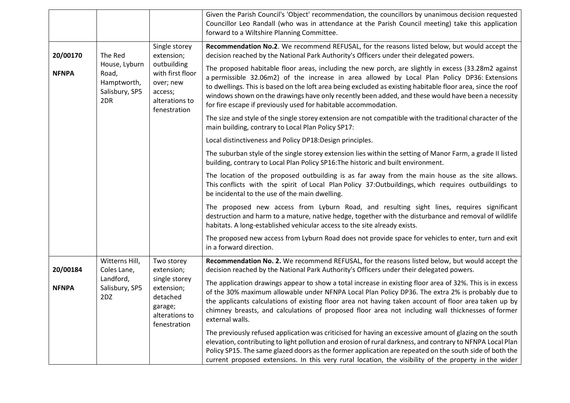|              |                                                                                                                                                                                         |                                                                                                                                                                                                                                                                                                                                                                                                                                            | Given the Parish Council's 'Object' recommendation, the councillors by unanimous decision requested<br>Councillor Leo Randall (who was in attendance at the Parish Council meeting) take this application<br>forward to a Wiltshire Planning Committee.                                                                                                                                                                                                                                       |
|--------------|-----------------------------------------------------------------------------------------------------------------------------------------------------------------------------------------|--------------------------------------------------------------------------------------------------------------------------------------------------------------------------------------------------------------------------------------------------------------------------------------------------------------------------------------------------------------------------------------------------------------------------------------------|-----------------------------------------------------------------------------------------------------------------------------------------------------------------------------------------------------------------------------------------------------------------------------------------------------------------------------------------------------------------------------------------------------------------------------------------------------------------------------------------------|
| 20/00170     | The Red<br>House, Lyburn<br>Road,<br>Hamptworth,<br>Salisbury, SP5<br>2DR                                                                                                               | Single storey<br>extension;<br>outbuilding<br>with first floor<br>over; new<br>access;<br>alterations to<br>fenestration                                                                                                                                                                                                                                                                                                                   | Recommendation No.2. We recommend REFUSAL, for the reasons listed below, but would accept the<br>decision reached by the National Park Authority's Officers under their delegated powers.                                                                                                                                                                                                                                                                                                     |
| <b>NFNPA</b> |                                                                                                                                                                                         |                                                                                                                                                                                                                                                                                                                                                                                                                                            | The proposed habitable floor areas, including the new porch, are slightly in excess (33.28m2 against<br>a permissible 32.06m2) of the increase in area allowed by Local Plan Policy DP36: Extensions<br>to dwellings. This is based on the loft area being excluded as existing habitable floor area, since the roof<br>windows shown on the drawings have only recently been added, and these would have been a necessity<br>for fire escape if previously used for habitable accommodation. |
|              |                                                                                                                                                                                         |                                                                                                                                                                                                                                                                                                                                                                                                                                            | The size and style of the single storey extension are not compatible with the traditional character of the<br>main building, contrary to Local Plan Policy SP17:                                                                                                                                                                                                                                                                                                                              |
|              |                                                                                                                                                                                         |                                                                                                                                                                                                                                                                                                                                                                                                                                            | Local distinctiveness and Policy DP18:Design principles.                                                                                                                                                                                                                                                                                                                                                                                                                                      |
|              |                                                                                                                                                                                         |                                                                                                                                                                                                                                                                                                                                                                                                                                            | The suburban style of the single storey extension lies within the setting of Manor Farm, a grade II listed<br>building, contrary to Local Plan Policy SP16: The historic and built environment.                                                                                                                                                                                                                                                                                               |
|              |                                                                                                                                                                                         |                                                                                                                                                                                                                                                                                                                                                                                                                                            | The location of the proposed outbuilding is as far away from the main house as the site allows.<br>This conflicts with the spirit of Local Plan Policy 37:Outbuildings, which requires outbuildings to<br>be incidental to the use of the main dwelling.                                                                                                                                                                                                                                      |
|              |                                                                                                                                                                                         |                                                                                                                                                                                                                                                                                                                                                                                                                                            | The proposed new access from Lyburn Road, and resulting sight lines, requires significant<br>destruction and harm to a mature, native hedge, together with the disturbance and removal of wildlife<br>habitats. A long-established vehicular access to the site already exists.                                                                                                                                                                                                               |
|              |                                                                                                                                                                                         |                                                                                                                                                                                                                                                                                                                                                                                                                                            | The proposed new access from Lyburn Road does not provide space for vehicles to enter, turn and exit<br>in a forward direction.                                                                                                                                                                                                                                                                                                                                                               |
| 20/00184     | Witterns Hill,<br>Two storey<br>Coles Lane,<br>extension;<br>Landford,<br>single storey<br>Salisbury, SP5<br>extension;<br>2DZ<br>detached<br>garage;<br>alterations to<br>fenestration |                                                                                                                                                                                                                                                                                                                                                                                                                                            | Recommendation No. 2. We recommend REFUSAL, for the reasons listed below, but would accept the<br>decision reached by the National Park Authority's Officers under their delegated powers.                                                                                                                                                                                                                                                                                                    |
| <b>NFNPA</b> |                                                                                                                                                                                         |                                                                                                                                                                                                                                                                                                                                                                                                                                            | The application drawings appear to show a total increase in existing floor area of 32%. This is in excess<br>of the 30% maximum allowable under NFNPA Local Plan Policy DP36. The extra 2% is probably due to<br>the applicants calculations of existing floor area not having taken account of floor area taken up by<br>chimney breasts, and calculations of proposed floor area not including wall thicknesses of former<br>external walls.                                                |
|              |                                                                                                                                                                                         | The previously refused application was criticised for having an excessive amount of glazing on the south<br>elevation, contributing to light pollution and erosion of rural darkness, and contrary to NFNPA Local Plan<br>Policy SP15. The same glazed doors as the former application are repeated on the south side of both the<br>current proposed extensions. In this very rural location, the visibility of the property in the wider |                                                                                                                                                                                                                                                                                                                                                                                                                                                                                               |